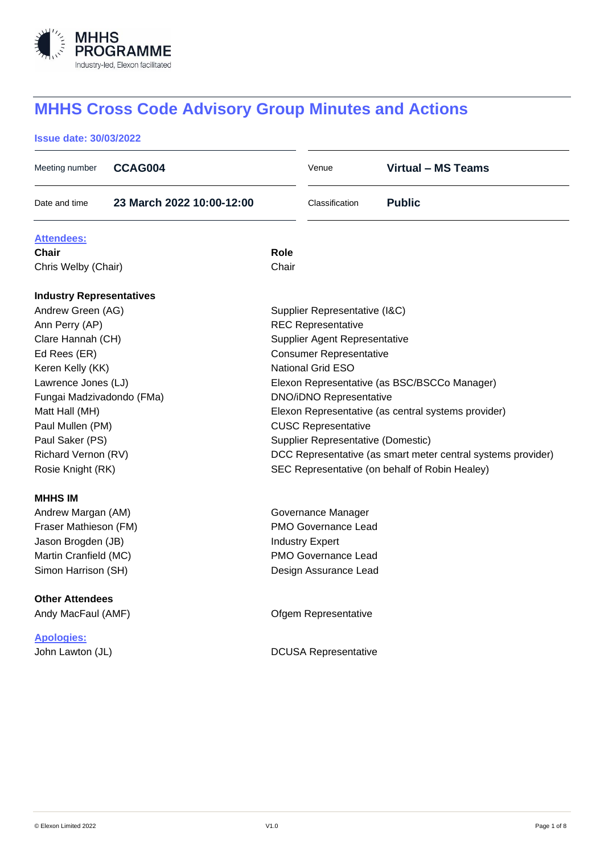

# **MHHS Cross Code Advisory Group Minutes and Actions**

## **Issue date: 30/03/2022**

| Meeting number                  | CCAG004                   |                                                              | Venue                       | <b>Virtual - MS Teams</b>                      |  |
|---------------------------------|---------------------------|--------------------------------------------------------------|-----------------------------|------------------------------------------------|--|
| Date and time                   | 23 March 2022 10:00-12:00 |                                                              | Classification              | <b>Public</b>                                  |  |
| <u>Attendees:</u>               |                           |                                                              |                             |                                                |  |
| Chair                           |                           | Role                                                         |                             |                                                |  |
| Chris Welby (Chair)             |                           | Chair                                                        |                             |                                                |  |
| <b>Industry Representatives</b> |                           |                                                              |                             |                                                |  |
| Andrew Green (AG)               |                           | Supplier Representative (I&C)                                |                             |                                                |  |
| Ann Perry (AP)                  |                           | <b>REC Representative</b>                                    |                             |                                                |  |
| Clare Hannah (CH)               |                           | Supplier Agent Representative                                |                             |                                                |  |
| Ed Rees (ER)                    |                           | <b>Consumer Representative</b>                               |                             |                                                |  |
| Keren Kelly (KK)                |                           | <b>National Grid ESO</b>                                     |                             |                                                |  |
| Lawrence Jones (LJ)             |                           | Elexon Representative (as BSC/BSCCo Manager)                 |                             |                                                |  |
| Fungai Madzivadondo (FMa)       |                           | <b>DNO/iDNO Representative</b>                               |                             |                                                |  |
| Matt Hall (MH)                  |                           | Elexon Representative (as central systems provider)          |                             |                                                |  |
| Paul Mullen (PM)                |                           | <b>CUSC Representative</b>                                   |                             |                                                |  |
| Paul Saker (PS)                 |                           | Supplier Representative (Domestic)                           |                             |                                                |  |
| Richard Vernon (RV)             |                           | DCC Representative (as smart meter central systems provider) |                             |                                                |  |
| Rosie Knight (RK)               |                           |                                                              |                             | SEC Representative (on behalf of Robin Healey) |  |
| <b>MHHS IM</b>                  |                           |                                                              |                             |                                                |  |
| Andrew Margan (AM)              |                           | Governance Manager                                           |                             |                                                |  |
| Fraser Mathieson (FM)           |                           | <b>PMO Governance Lead</b>                                   |                             |                                                |  |
| Jason Brogden (JB)              |                           | <b>Industry Expert</b>                                       |                             |                                                |  |
| Martin Cranfield (MC)           |                           | <b>PMO Governance Lead</b>                                   |                             |                                                |  |
| Simon Harrison (SH)             |                           |                                                              | Design Assurance Lead       |                                                |  |
| <b>Other Attendees</b>          |                           |                                                              |                             |                                                |  |
| Andy MacFaul (AMF)              |                           |                                                              | Ofgem Representative        |                                                |  |
| <b>Apologies:</b>               |                           |                                                              |                             |                                                |  |
| John Lawton (JL)                |                           |                                                              | <b>DCUSA Representative</b> |                                                |  |
|                                 |                           |                                                              |                             |                                                |  |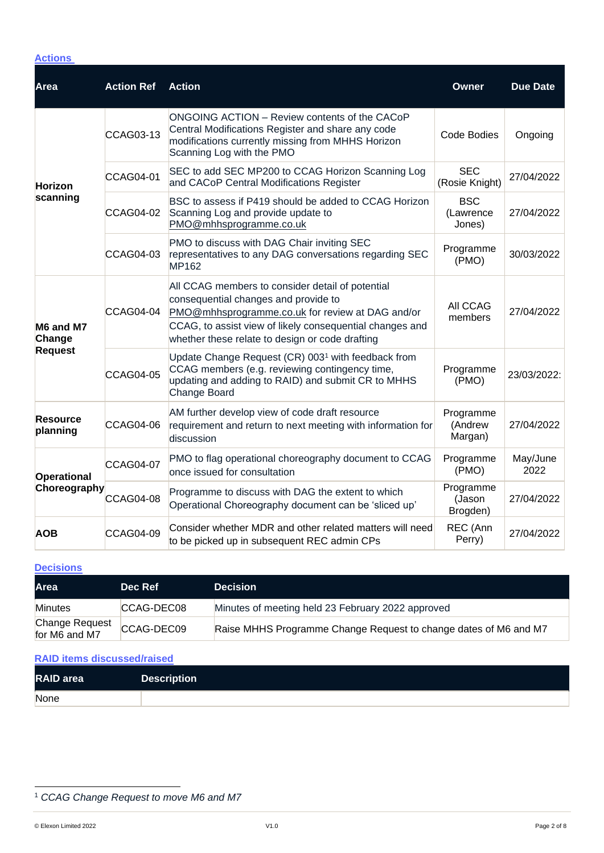## **Actions**

| <b>Area</b>                           | <b>Action Ref</b> | <b>Action</b>                                                                                                                                                                                                                                               | <b>Owner</b>                      | <b>Due Date</b>  |
|---------------------------------------|-------------------|-------------------------------------------------------------------------------------------------------------------------------------------------------------------------------------------------------------------------------------------------------------|-----------------------------------|------------------|
| <b>Horizon</b><br>scanning            | <b>CCAG03-13</b>  | <b>ONGOING ACTION - Review contents of the CACoP</b><br>Central Modifications Register and share any code<br>modifications currently missing from MHHS Horizon<br>Scanning Log with the PMO                                                                 | <b>Code Bodies</b>                | Ongoing          |
|                                       | <b>CCAG04-01</b>  | SEC to add SEC MP200 to CCAG Horizon Scanning Log<br>and CACoP Central Modifications Register                                                                                                                                                               | <b>SEC</b><br>(Rosie Knight)      | 27/04/2022       |
|                                       | <b>CCAG04-02</b>  | BSC to assess if P419 should be added to CCAG Horizon<br>Scanning Log and provide update to<br>PMO@mhhsprogramme.co.uk                                                                                                                                      | <b>BSC</b><br>(Lawrence<br>Jones) | 27/04/2022       |
|                                       | <b>CCAG04-03</b>  | PMO to discuss with DAG Chair inviting SEC<br>representatives to any DAG conversations regarding SEC<br>MP162                                                                                                                                               | Programme<br>(PMO)                | 30/03/2022       |
| M6 and M7<br>Change<br><b>Request</b> | <b>CCAG04-04</b>  | All CCAG members to consider detail of potential<br>consequential changes and provide to<br>PMO@mhhsprogramme.co.uk for review at DAG and/or<br>CCAG, to assist view of likely consequential changes and<br>whether these relate to design or code drafting | All CCAG<br>members               | 27/04/2022       |
|                                       | <b>CCAG04-05</b>  | Update Change Request (CR) 003 <sup>1</sup> with feedback from<br>CCAG members (e.g. reviewing contingency time,<br>updating and adding to RAID) and submit CR to MHHS<br>Change Board                                                                      | Programme<br>(PMO)                | 23/03/2022:      |
| <b>Resource</b><br>planning           | <b>CCAG04-06</b>  | AM further develop view of code draft resource<br>requirement and return to next meeting with information for<br>discussion                                                                                                                                 | Programme<br>(Andrew<br>Margan)   | 27/04/2022       |
| <b>Operational</b><br>Choreography    | <b>CCAG04-07</b>  | PMO to flag operational choreography document to CCAG<br>once issued for consultation                                                                                                                                                                       | Programme<br>(PMO)                | May/June<br>2022 |
|                                       | <b>CCAG04-08</b>  | Programme to discuss with DAG the extent to which<br>Operational Choreography document can be 'sliced up'                                                                                                                                                   | Programme<br>(Jason<br>Brogden)   | 27/04/2022       |
| <b>AOB</b>                            | <b>CCAG04-09</b>  | Consider whether MDR and other related matters will need<br>to be picked up in subsequent REC admin CPs                                                                                                                                                     | REC (Ann<br>Perry)                | 27/04/2022       |

#### **Decisions**

| Area                            | Dec Ref    | <b>Decision</b>                                                  |
|---------------------------------|------------|------------------------------------------------------------------|
| <b>Minutes</b>                  | CCAG-DEC08 | Minutes of meeting held 23 February 2022 approved                |
| Change Request<br>for M6 and M7 | CCAG-DEC09 | Raise MHHS Programme Change Request to change dates of M6 and M7 |

## **RAID items discussed/raised**

| <b>RAID</b> area | <b>Description</b> |
|------------------|--------------------|
| None             |                    |

<sup>1</sup> *CCAG Change Request to move M6 and M7*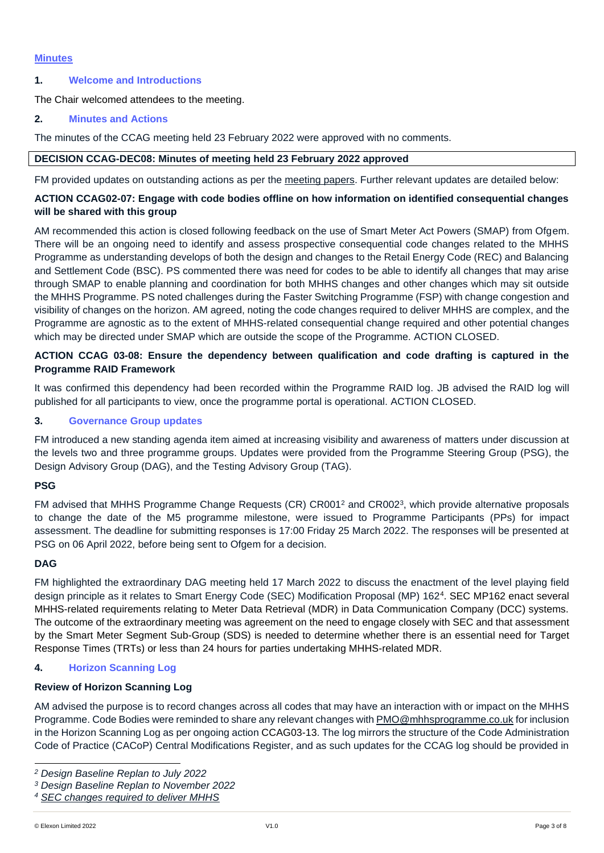#### **Minutes**

## **1. Welcome and Introductions**

The Chair welcomed attendees to the meeting.

## **2. Minutes and Actions**

The minutes of the CCAG meeting held 23 February 2022 were approved with no comments.

## **DECISION CCAG-DEC08: Minutes of meeting held 23 February 2022 approved**

FM provided updates on outstanding actions as per the [meeting papers.](https://mhhsprogramme-production-cdn.s3.eu-west-2.amazonaws.com/wp-content/uploads/2022/03/16160437/CCAG-pack_23-March-2022.zip) Further relevant updates are detailed below:

## **ACTION CCAG02-07: Engage with code bodies offline on how information on identified consequential changes will be shared with this group**

AM recommended this action is closed following feedback on the use of Smart Meter Act Powers (SMAP) from Ofgem. There will be an ongoing need to identify and assess prospective consequential code changes related to the MHHS Programme as understanding develops of both the design and changes to the Retail Energy Code (REC) and Balancing and Settlement Code (BSC). PS commented there was need for codes to be able to identify all changes that may arise through SMAP to enable planning and coordination for both MHHS changes and other changes which may sit outside the MHHS Programme. PS noted challenges during the Faster Switching Programme (FSP) with change congestion and visibility of changes on the horizon. AM agreed, noting the code changes required to deliver MHHS are complex, and the Programme are agnostic as to the extent of MHHS-related consequential change required and other potential changes which may be directed under SMAP which are outside the scope of the Programme. ACTION CLOSED.

## **ACTION CCAG 03-08: Ensure the dependency between qualification and code drafting is captured in the Programme RAID Framework**

It was confirmed this dependency had been recorded within the Programme RAID log. JB advised the RAID log will published for all participants to view, once the programme portal is operational. ACTION CLOSED.

## **3. Governance Group updates**

FM introduced a new standing agenda item aimed at increasing visibility and awareness of matters under discussion at the levels two and three programme groups. Updates were provided from the Programme Steering Group (PSG), the Design Advisory Group (DAG), and the Testing Advisory Group (TAG).

#### **PSG**

FM advised that MHHS Programme Change Requests (CR) CR001<sup>2</sup> and CR002<sup>3</sup>, which provide alternative proposals to change the date of the M5 programme milestone, were issued to Programme Participants (PPs) for impact assessment. The deadline for submitting responses is 17:00 Friday 25 March 2022. The responses will be presented at PSG on 06 April 2022, before being sent to Ofgem for a decision.

#### **DAG**

FM highlighted the extraordinary DAG meeting held 17 March 2022 to discuss the enactment of the level playing field design principle as it relates to Smart Energy Code (SEC) Modification Proposal (MP) 162<sup>4</sup> . SEC MP162 enact several MHHS-related requirements relating to Meter Data Retrieval (MDR) in Data Communication Company (DCC) systems. The outcome of the extraordinary meeting was agreement on the need to engage closely with SEC and that assessment by the Smart Meter Segment Sub-Group (SDS) is needed to determine whether there is an essential need for Target Response Times (TRTs) or less than 24 hours for parties undertaking MHHS-related MDR.

## **4. Horizon Scanning Log**

#### **Review of Horizon Scanning Log**

AM advised the purpose is to record changes across all codes that may have an interaction with or impact on the MHHS Programme. Code Bodies were reminded to share any relevant changes with [PMO@mhhsprogramme.co.uk](mailto:PMO@mhhsprogramme.co.uk) for inclusion in the Horizon Scanning Log as per ongoing action CCAG03-13. The log mirrors the structure of the Code Administration Code of Practice (CACoP) Central Modifications Register, and as such updates for the CCAG log should be provided in

*<sup>2</sup> Design Baseline Replan to July 2022*

*<sup>3</sup> Design Baseline Replan to November 2022*

*<sup>4</sup> [SEC changes required to deliver MHHS](https://smartenergycodecompany.co.uk/modifications/sec-changes-required-to-deliver-mhhs/)*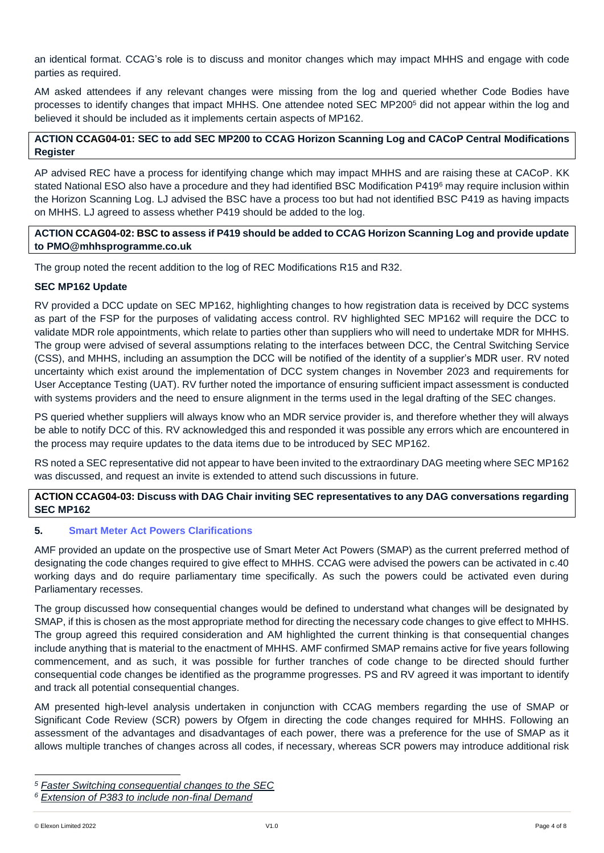an identical format. CCAG's role is to discuss and monitor changes which may impact MHHS and engage with code parties as required.

AM asked attendees if any relevant changes were missing from the log and queried whether Code Bodies have processes to identify changes that impact MHHS. One attendee noted SEC MP200<sup>5</sup> did not appear within the log and believed it should be included as it implements certain aspects of MP162.

## **ACTION CCAG04-01: SEC to add SEC MP200 to CCAG Horizon Scanning Log and CACoP Central Modifications Register**

AP advised REC have a process for identifying change which may impact MHHS and are raising these at CACoP. KK stated National ESO also have a procedure and they had identified BSC Modification P419<sup>6</sup> may require inclusion within the Horizon Scanning Log. LJ advised the BSC have a process too but had not identified BSC P419 as having impacts on MHHS. LJ agreed to assess whether P419 should be added to the log.

## **ACTION CCAG04-02: BSC to assess if P419 should be added to CCAG Horizon Scanning Log and provide update to [PMO@mhhsprogramme.co.uk](mailto:PMO@mhhsprogramme.co.uk)**

The group noted the recent addition to the log of REC Modifications R15 and R32.

#### **SEC MP162 Update**

RV provided a DCC update on SEC MP162, highlighting changes to how registration data is received by DCC systems as part of the FSP for the purposes of validating access control. RV highlighted SEC MP162 will require the DCC to validate MDR role appointments, which relate to parties other than suppliers who will need to undertake MDR for MHHS. The group were advised of several assumptions relating to the interfaces between DCC, the Central Switching Service (CSS), and MHHS, including an assumption the DCC will be notified of the identity of a supplier's MDR user. RV noted uncertainty which exist around the implementation of DCC system changes in November 2023 and requirements for User Acceptance Testing (UAT). RV further noted the importance of ensuring sufficient impact assessment is conducted with systems providers and the need to ensure alignment in the terms used in the legal drafting of the SEC changes.

PS queried whether suppliers will always know who an MDR service provider is, and therefore whether they will always be able to notify DCC of this. RV acknowledged this and responded it was possible any errors which are encountered in the process may require updates to the data items due to be introduced by SEC MP162.

RS noted a SEC representative did not appear to have been invited to the extraordinary DAG meeting where SEC MP162 was discussed, and request an invite is extended to attend such discussions in future.

## **ACTION CCAG04-03: Discuss with DAG Chair inviting SEC representatives to any DAG conversations regarding SEC MP162**

## **5. Smart Meter Act Powers Clarifications**

AMF provided an update on the prospective use of Smart Meter Act Powers (SMAP) as the current preferred method of designating the code changes required to give effect to MHHS. CCAG were advised the powers can be activated in c.40 working days and do require parliamentary time specifically. As such the powers could be activated even during Parliamentary recesses.

The group discussed how consequential changes would be defined to understand what changes will be designated by SMAP, if this is chosen as the most appropriate method for directing the necessary code changes to give effect to MHHS. The group agreed this required consideration and AM highlighted the current thinking is that consequential changes include anything that is material to the enactment of MHHS. AMF confirmed SMAP remains active for five years following commencement, and as such, it was possible for further tranches of code change to be directed should further consequential code changes be identified as the programme progresses. PS and RV agreed it was important to identify and track all potential consequential changes.

AM presented high-level analysis undertaken in conjunction with CCAG members regarding the use of SMAP or Significant Code Review (SCR) powers by Ofgem in directing the code changes required for MHHS. Following an assessment of the advantages and disadvantages of each power, there was a preference for the use of SMAP as it allows multiple tranches of changes across all codes, if necessary, whereas SCR powers may introduce additional risk

*<sup>5</sup> [Faster Switching consequential changes to the SEC](https://smartenergycodecompany.co.uk/modifications/faster-switching-consequential-changes-to-the-sec/)*

*<sup>6</sup> [Extension of P383 to include non-final Demand](https://www.elexon.co.uk/mod-proposal/p419/)*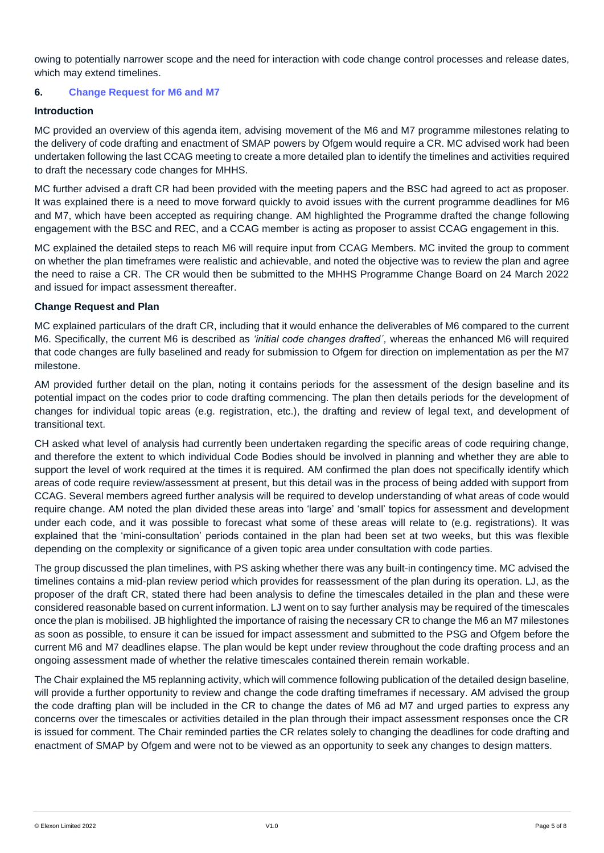owing to potentially narrower scope and the need for interaction with code change control processes and release dates, which may extend timelines.

## **6. Change Request for M6 and M7**

#### **Introduction**

MC provided an overview of this agenda item, advising movement of the M6 and M7 programme milestones relating to the delivery of code drafting and enactment of SMAP powers by Ofgem would require a CR. MC advised work had been undertaken following the last CCAG meeting to create a more detailed plan to identify the timelines and activities required to draft the necessary code changes for MHHS.

MC further advised a draft CR had been provided with the meeting papers and the BSC had agreed to act as proposer. It was explained there is a need to move forward quickly to avoid issues with the current programme deadlines for M6 and M7, which have been accepted as requiring change. AM highlighted the Programme drafted the change following engagement with the BSC and REC, and a CCAG member is acting as proposer to assist CCAG engagement in this.

MC explained the detailed steps to reach M6 will require input from CCAG Members. MC invited the group to comment on whether the plan timeframes were realistic and achievable, and noted the objective was to review the plan and agree the need to raise a CR. The CR would then be submitted to the MHHS Programme Change Board on 24 March 2022 and issued for impact assessment thereafter.

#### **Change Request and Plan**

MC explained particulars of the draft CR, including that it would enhance the deliverables of M6 compared to the current M6. Specifically, the current M6 is described as *'initial code changes drafted´,* whereas the enhanced M6 will required that code changes are fully baselined and ready for submission to Ofgem for direction on implementation as per the M7 milestone.

AM provided further detail on the plan, noting it contains periods for the assessment of the design baseline and its potential impact on the codes prior to code drafting commencing. The plan then details periods for the development of changes for individual topic areas (e.g. registration, etc.), the drafting and review of legal text, and development of transitional text.

CH asked what level of analysis had currently been undertaken regarding the specific areas of code requiring change, and therefore the extent to which individual Code Bodies should be involved in planning and whether they are able to support the level of work required at the times it is required. AM confirmed the plan does not specifically identify which areas of code require review/assessment at present, but this detail was in the process of being added with support from CCAG. Several members agreed further analysis will be required to develop understanding of what areas of code would require change. AM noted the plan divided these areas into 'large' and 'small' topics for assessment and development under each code, and it was possible to forecast what some of these areas will relate to (e.g. registrations). It was explained that the 'mini-consultation' periods contained in the plan had been set at two weeks, but this was flexible depending on the complexity or significance of a given topic area under consultation with code parties.

The group discussed the plan timelines, with PS asking whether there was any built-in contingency time. MC advised the timelines contains a mid-plan review period which provides for reassessment of the plan during its operation. LJ, as the proposer of the draft CR, stated there had been analysis to define the timescales detailed in the plan and these were considered reasonable based on current information. LJ went on to say further analysis may be required of the timescales once the plan is mobilised. JB highlighted the importance of raising the necessary CR to change the M6 an M7 milestones as soon as possible, to ensure it can be issued for impact assessment and submitted to the PSG and Ofgem before the current M6 and M7 deadlines elapse. The plan would be kept under review throughout the code drafting process and an ongoing assessment made of whether the relative timescales contained therein remain workable.

The Chair explained the M5 replanning activity, which will commence following publication of the detailed design baseline, will provide a further opportunity to review and change the code drafting timeframes if necessary. AM advised the group the code drafting plan will be included in the CR to change the dates of M6 ad M7 and urged parties to express any concerns over the timescales or activities detailed in the plan through their impact assessment responses once the CR is issued for comment. The Chair reminded parties the CR relates solely to changing the deadlines for code drafting and enactment of SMAP by Ofgem and were not to be viewed as an opportunity to seek any changes to design matters.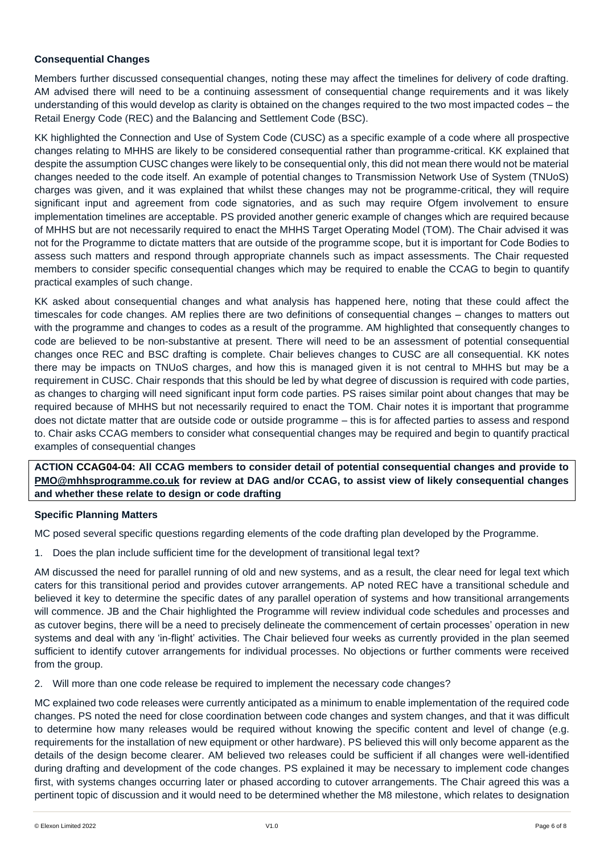## **Consequential Changes**

Members further discussed consequential changes, noting these may affect the timelines for delivery of code drafting. AM advised there will need to be a continuing assessment of consequential change requirements and it was likely understanding of this would develop as clarity is obtained on the changes required to the two most impacted codes – the Retail Energy Code (REC) and the Balancing and Settlement Code (BSC).

KK highlighted the Connection and Use of System Code (CUSC) as a specific example of a code where all prospective changes relating to MHHS are likely to be considered consequential rather than programme-critical. KK explained that despite the assumption CUSC changes were likely to be consequential only, this did not mean there would not be material changes needed to the code itself. An example of potential changes to Transmission Network Use of System (TNUoS) charges was given, and it was explained that whilst these changes may not be programme-critical, they will require significant input and agreement from code signatories, and as such may require Ofgem involvement to ensure implementation timelines are acceptable. PS provided another generic example of changes which are required because of MHHS but are not necessarily required to enact the MHHS Target Operating Model (TOM). The Chair advised it was not for the Programme to dictate matters that are outside of the programme scope, but it is important for Code Bodies to assess such matters and respond through appropriate channels such as impact assessments. The Chair requested members to consider specific consequential changes which may be required to enable the CCAG to begin to quantify practical examples of such change.

KK asked about consequential changes and what analysis has happened here, noting that these could affect the timescales for code changes. AM replies there are two definitions of consequential changes – changes to matters out with the programme and changes to codes as a result of the programme. AM highlighted that consequently changes to code are believed to be non-substantive at present. There will need to be an assessment of potential consequential changes once REC and BSC drafting is complete. Chair believes changes to CUSC are all consequential. KK notes there may be impacts on TNUoS charges, and how this is managed given it is not central to MHHS but may be a requirement in CUSC. Chair responds that this should be led by what degree of discussion is required with code parties, as changes to charging will need significant input form code parties. PS raises similar point about changes that may be required because of MHHS but not necessarily required to enact the TOM. Chair notes it is important that programme does not dictate matter that are outside code or outside programme – this is for affected parties to assess and respond to. Chair asks CCAG members to consider what consequential changes may be required and begin to quantify practical examples of consequential changes

**ACTION CCAG04-04: All CCAG members to consider detail of potential consequential changes and provide to [PMO@mhhsprogramme.co.uk](mailto:PMO@mhhsprogramme.co.uk) for review at DAG and/or CCAG, to assist view of likely consequential changes and whether these relate to design or code drafting**

#### **Specific Planning Matters**

MC posed several specific questions regarding elements of the code drafting plan developed by the Programme.

1. Does the plan include sufficient time for the development of transitional legal text?

AM discussed the need for parallel running of old and new systems, and as a result, the clear need for legal text which caters for this transitional period and provides cutover arrangements. AP noted REC have a transitional schedule and believed it key to determine the specific dates of any parallel operation of systems and how transitional arrangements will commence. JB and the Chair highlighted the Programme will review individual code schedules and processes and as cutover begins, there will be a need to precisely delineate the commencement of certain processes' operation in new systems and deal with any 'in-flight' activities. The Chair believed four weeks as currently provided in the plan seemed sufficient to identify cutover arrangements for individual processes. No objections or further comments were received from the group.

2. Will more than one code release be required to implement the necessary code changes?

MC explained two code releases were currently anticipated as a minimum to enable implementation of the required code changes. PS noted the need for close coordination between code changes and system changes, and that it was difficult to determine how many releases would be required without knowing the specific content and level of change (e.g. requirements for the installation of new equipment or other hardware). PS believed this will only become apparent as the details of the design become clearer. AM believed two releases could be sufficient if all changes were well-identified during drafting and development of the code changes. PS explained it may be necessary to implement code changes first, with systems changes occurring later or phased according to cutover arrangements. The Chair agreed this was a pertinent topic of discussion and it would need to be determined whether the M8 milestone, which relates to designation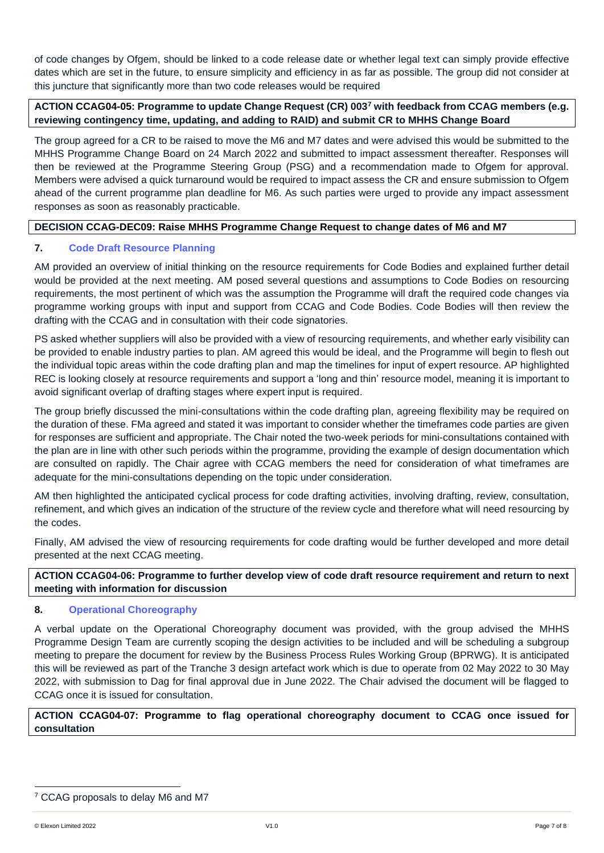of code changes by Ofgem, should be linked to a code release date or whether legal text can simply provide effective dates which are set in the future, to ensure simplicity and efficiency in as far as possible. The group did not consider at this juncture that significantly more than two code releases would be required

## **ACTION CCAG04-05: Programme to update Change Request (CR) 003<sup>7</sup> with feedback from CCAG members (e.g. reviewing contingency time, updating, and adding to RAID) and submit CR to MHHS Change Board**

The group agreed for a CR to be raised to move the M6 and M7 dates and were advised this would be submitted to the MHHS Programme Change Board on 24 March 2022 and submitted to impact assessment thereafter. Responses will then be reviewed at the Programme Steering Group (PSG) and a recommendation made to Ofgem for approval. Members were advised a quick turnaround would be required to impact assess the CR and ensure submission to Ofgem ahead of the current programme plan deadline for M6. As such parties were urged to provide any impact assessment responses as soon as reasonably practicable.

## **DECISION CCAG-DEC09: Raise MHHS Programme Change Request to change dates of M6 and M7**

## **7. Code Draft Resource Planning**

AM provided an overview of initial thinking on the resource requirements for Code Bodies and explained further detail would be provided at the next meeting. AM posed several questions and assumptions to Code Bodies on resourcing requirements, the most pertinent of which was the assumption the Programme will draft the required code changes via programme working groups with input and support from CCAG and Code Bodies. Code Bodies will then review the drafting with the CCAG and in consultation with their code signatories.

PS asked whether suppliers will also be provided with a view of resourcing requirements, and whether early visibility can be provided to enable industry parties to plan. AM agreed this would be ideal, and the Programme will begin to flesh out the individual topic areas within the code drafting plan and map the timelines for input of expert resource. AP highlighted REC is looking closely at resource requirements and support a 'long and thin' resource model, meaning it is important to avoid significant overlap of drafting stages where expert input is required.

The group briefly discussed the mini-consultations within the code drafting plan, agreeing flexibility may be required on the duration of these. FMa agreed and stated it was important to consider whether the timeframes code parties are given for responses are sufficient and appropriate. The Chair noted the two-week periods for mini-consultations contained with the plan are in line with other such periods within the programme, providing the example of design documentation which are consulted on rapidly. The Chair agree with CCAG members the need for consideration of what timeframes are adequate for the mini-consultations depending on the topic under consideration.

AM then highlighted the anticipated cyclical process for code drafting activities, involving drafting, review, consultation, refinement, and which gives an indication of the structure of the review cycle and therefore what will need resourcing by the codes.

Finally, AM advised the view of resourcing requirements for code drafting would be further developed and more detail presented at the next CCAG meeting.

**ACTION CCAG04-06: Programme to further develop view of code draft resource requirement and return to next meeting with information for discussion**

#### **8. Operational Choreography**

A verbal update on the Operational Choreography document was provided, with the group advised the MHHS Programme Design Team are currently scoping the design activities to be included and will be scheduling a subgroup meeting to prepare the document for review by the Business Process Rules Working Group (BPRWG). It is anticipated this will be reviewed as part of the Tranche 3 design artefact work which is due to operate from 02 May 2022 to 30 May 2022, with submission to Dag for final approval due in June 2022. The Chair advised the document will be flagged to CCAG once it is issued for consultation.

## **ACTION CCAG04-07: Programme to flag operational choreography document to CCAG once issued for consultation**

<sup>7</sup> CCAG proposals to delay M6 and M7